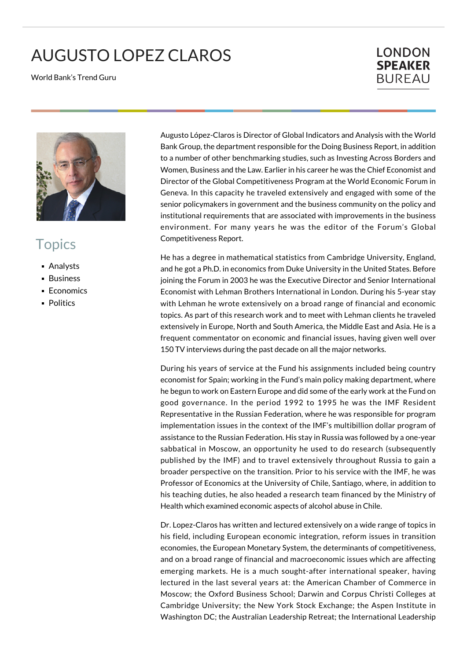## AUGUSTO LOPEZ CLAROS

World Bank's Trend Guru

## **LONDON SPEAKER BUREAU**



## **Topics**

- Analysts
- **Business**
- **Economics**
- **Politics**

Augusto López-Claros is Director of Global Indicators and Analysis with the World Bank Group, the department responsible for the Doing Business Report, in addition to a number of other benchmarking studies, such as Investing Across Borders and Women, Business and the Law. Earlier in his career he was the Chief Economist and Director of the Global Competitiveness Program at the World Economic Forum in Geneva. In this capacity he traveled extensively and engaged with some of the senior policymakers in government and the business community on the policy and institutional requirements that are associated with improvements in the business environment. For many years he was the editor of the Forum's Global Competitiveness Report.

He has a degree in mathematical statistics from Cambridge University, England, and he got a Ph.D. in economics from Duke University in the United States. Before joining the Forum in 2003 he was the Executive Director and Senior International Economist with Lehman Brothers International in London. During his 5-year stay with Lehman he wrote extensively on a broad range of financial and economic topics. As part of this research work and to meet with Lehman clients he traveled extensively in Europe, North and South America, the Middle East and Asia. He is a frequent commentator on economic and financial issues, having given well over 150 TV interviews during the past decade on all the major networks.

During his years of service at the Fund his assignments included being country economist for Spain; working in the Fund's main policy making department, where he begun to work on Eastern Europe and did some of the early work at the Fund on good governance. In the period 1992 to 1995 he was the IMF Resident Representative in the Russian Federation, where he was responsible for program implementation issues in the context of the IMF's multibillion dollar program of assistance to the Russian Federation. His stay in Russia was followed by a one-year sabbatical in Moscow, an opportunity he used to do research (subsequently published by the IMF) and to travel extensively throughout Russia to gain a broader perspective on the transition. Prior to his service with the IMF, he was Professor of Economics at the University of Chile, Santiago, where, in addition to his teaching duties, he also headed a research team financed by the Ministry of Health which examined economic aspects of alcohol abuse in Chile.

Dr. Lopez-Claros has written and lectured extensively on a wide range of topics in his field, including European economic integration, reform issues in transition economies, the European Monetary System, the determinants of competitiveness, and on a broad range of financial and macroeconomic issues which are affecting emerging markets. He is a much sought-after international speaker, having lectured in the last several years at: the American Chamber of Commerce in Moscow; the Oxford Business School; Darwin and Corpus Christi Colleges at Cambridge University; the New York Stock Exchange; the Aspen Institute in Washington DC; the Australian Leadership Retreat; the International Leadership